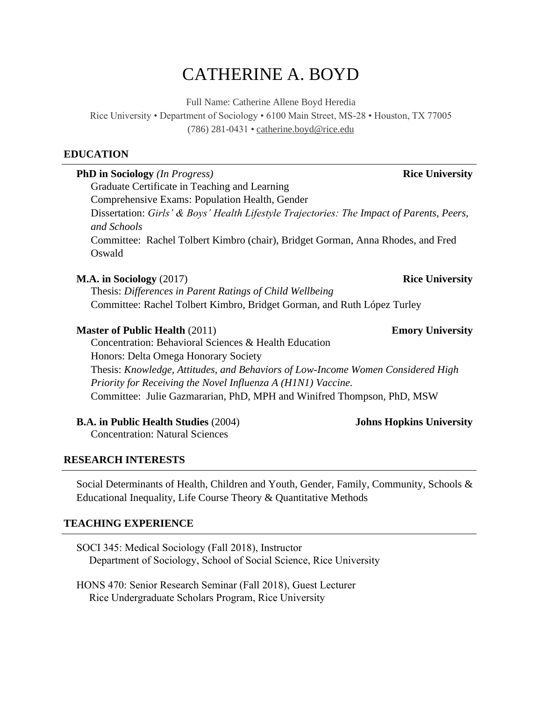# CATHERINE A. BOYD

Full Name: Catherine Allene Boyd Heredia

Rice University • Department of Sociology • 6100 Main Street, MS-28 • Houston, TX 77005 (786) 281-0431 • [catherine.boyd@rice.edu](mailto:catherine.boyd@rice.edu) 

#### **EDUCATION**

| <b>PhD in Sociology</b> (In Progress)                                                                    | <b>Rice University</b>          |  |
|----------------------------------------------------------------------------------------------------------|---------------------------------|--|
| Graduate Certificate in Teaching and Learning                                                            |                                 |  |
| Comprehensive Exams: Population Health, Gender                                                           |                                 |  |
| Dissertation: Girls' & Boys' Health Lifestyle Trajectories: The Impact of Parents, Peers,<br>and Schools |                                 |  |
| Committee: Rachel Tolbert Kimbro (chair), Bridget Gorman, Anna Rhodes, and Fred<br>Oswald                |                                 |  |
| <b>M.A.</b> in Sociology $(2017)$                                                                        | <b>Rice University</b>          |  |
| Thesis: Differences in Parent Ratings of Child Wellbeing                                                 |                                 |  |
| Committee: Rachel Tolbert Kimbro, Bridget Gorman, and Ruth López Turley                                  |                                 |  |
| <b>Master of Public Health (2011)</b>                                                                    | <b>Emory University</b>         |  |
| Concentration: Behavioral Sciences & Health Education                                                    |                                 |  |
| Honors: Delta Omega Honorary Society                                                                     |                                 |  |
| Thesis: Knowledge, Attitudes, and Behaviors of Low-Income Women Considered High                          |                                 |  |
| Priority for Receiving the Novel Influenza A (H1N1) Vaccine.                                             |                                 |  |
| Committee: Julie Gazmararian, PhD, MPH and Winifred Thompson, PhD, MSW                                   |                                 |  |
| <b>B.A. in Public Health Studies (2004)</b>                                                              | <b>Johns Hopkins University</b> |  |
| <b>Concentration: Natural Sciences</b>                                                                   |                                 |  |

#### **RESEARCH INTERESTS**

Social Determinants of Health, Children and Youth, Gender, Family, Community, Schools & Educational Inequality, Life Course Theory & Quantitative Methods

#### **TEACHING EXPERIENCE**

SOCI 345: Medical Sociology (Fall 2018), Instructor Department of Sociology, School of Social Science, Rice University

HONS 470: Senior Research Seminar (Fall 2018), Guest Lecturer Rice Undergraduate Scholars Program, Rice University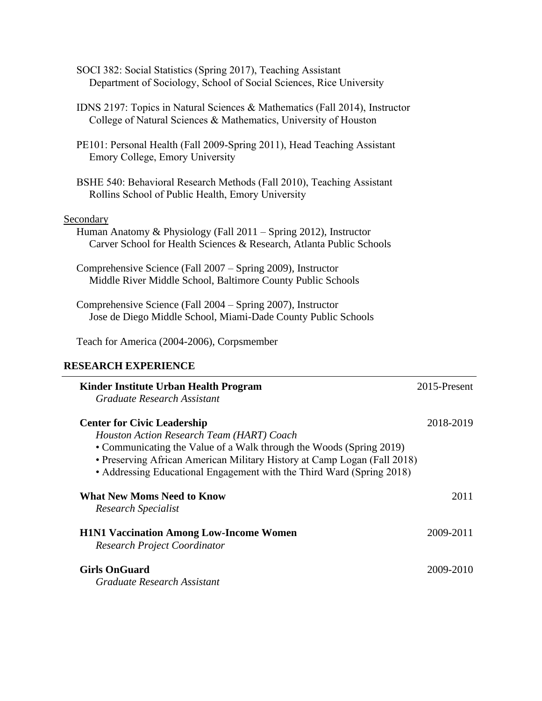- SOCI 382: Social Statistics (Spring 2017), Teaching Assistant Department of Sociology, School of Social Sciences, Rice University
- IDNS 2197: Topics in Natural Sciences & Mathematics (Fall 2014), Instructor College of Natural Sciences & Mathematics, University of Houston
- PE101: Personal Health (Fall 2009-Spring 2011), Head Teaching Assistant Emory College, Emory University
- BSHE 540: Behavioral Research Methods (Fall 2010), Teaching Assistant Rollins School of Public Health, Emory University

#### Secondary

- Human Anatomy & Physiology (Fall 2011 Spring 2012), Instructor Carver School for Health Sciences & Research, Atlanta Public Schools
- Comprehensive Science (Fall 2007 Spring 2009), Instructor Middle River Middle School, Baltimore County Public Schools
- Comprehensive Science (Fall 2004 Spring 2007), Instructor Jose de Diego Middle School, Miami-Dade County Public Schools

Teach for America (2004-2006), Corpsmember

#### **RESEARCH EXPERIENCE**

| Kinder Institute Urban Health Program<br>Graduate Research Assistant                                                                                                                                                                                                                                        | 2015-Present |
|-------------------------------------------------------------------------------------------------------------------------------------------------------------------------------------------------------------------------------------------------------------------------------------------------------------|--------------|
| <b>Center for Civic Leadership</b><br>Houston Action Research Team (HART) Coach<br>• Communicating the Value of a Walk through the Woods (Spring 2019)<br>• Preserving African American Military History at Camp Logan (Fall 2018)<br>• Addressing Educational Engagement with the Third Ward (Spring 2018) | 2018-2019    |
| <b>What New Moms Need to Know</b><br>Research Specialist                                                                                                                                                                                                                                                    | 2011         |
| <b>H1N1 Vaccination Among Low-Income Women</b><br><b>Research Project Coordinator</b>                                                                                                                                                                                                                       | 2009-2011    |
| <b>Girls OnGuard</b><br>Graduate Research Assistant                                                                                                                                                                                                                                                         | 2009-2010    |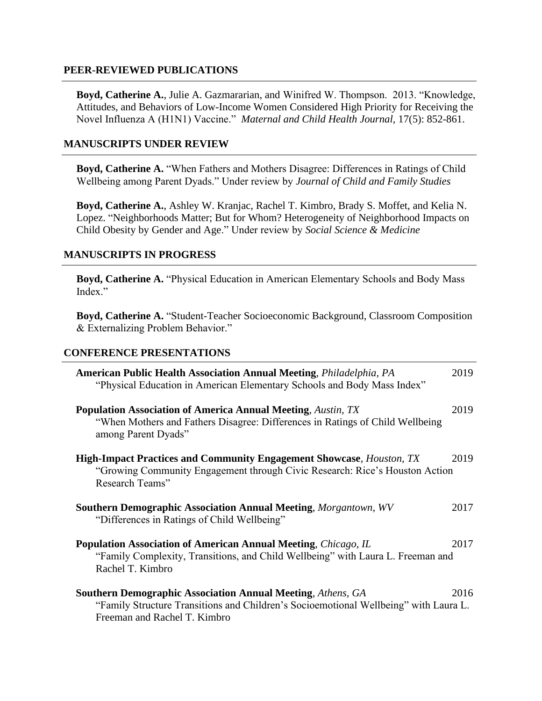#### **PEER-REVIEWED PUBLICATIONS**

 Novel Influenza A (H1N1) Vaccine." *Maternal and Child Health Journal,* 17(5): 852-861. **Boyd, Catherine A.**, Julie A. Gazmararian, and Winifred W. Thompson. 2013. "Knowledge, Attitudes, and Behaviors of Low-Income Women Considered High Priority for Receiving the

#### **MANUSCRIPTS UNDER REVIEW**

**Boyd, Catherine A.** "When Fathers and Mothers Disagree: Differences in Ratings of Child Wellbeing among Parent Dyads." Under review by *Journal of Child and Family Studies* 

**Boyd, Catherine A.**, Ashley W. Kranjac, Rachel T. Kimbro, Brady S. Moffet, and Kelia N. Lopez. "Neighborhoods Matter; But for Whom? Heterogeneity of Neighborhood Impacts on Child Obesity by Gender and Age." Under review by *Social Science & Medicine* 

#### **MANUSCRIPTS IN PROGRESS**

**Boyd, Catherine A.** "Physical Education in American Elementary Schools and Body Mass Index."

**Boyd, Catherine A.** "Student-Teacher Socioeconomic Background, Classroom Composition & Externalizing Problem Behavior."

#### **CONFERENCE PRESENTATIONS**

| <b>American Public Health Association Annual Meeting, Philadelphia, PA</b><br>"Physical Education in American Elementary Schools and Body Mass Index"                                      | 2019 |
|--------------------------------------------------------------------------------------------------------------------------------------------------------------------------------------------|------|
| <b>Population Association of America Annual Meeting, Austin, TX</b><br>"When Mothers and Fathers Disagree: Differences in Ratings of Child Wellbeing<br>among Parent Dyads"                | 2019 |
| <b>High-Impact Practices and Community Engagement Showcase, Houston, TX</b><br>"Growing Community Engagement through Civic Research: Rice's Houston Action<br>Research Teams"              | 2019 |
| <b>Southern Demographic Association Annual Meeting, Morgantown, WV</b><br>"Differences in Ratings of Child Wellbeing"                                                                      | 2017 |
| <b>Population Association of American Annual Meeting, Chicago, IL</b><br>2017<br>"Family Complexity, Transitions, and Child Wellbeing" with Laura L. Freeman and<br>Rachel T. Kimbro       |      |
| <b>Southern Demographic Association Annual Meeting, Athens, GA</b><br>"Family Structure Transitions and Children's Socioemotional Wellbeing" with Laura L.<br>Freeman and Rachel T. Kimbro | 2016 |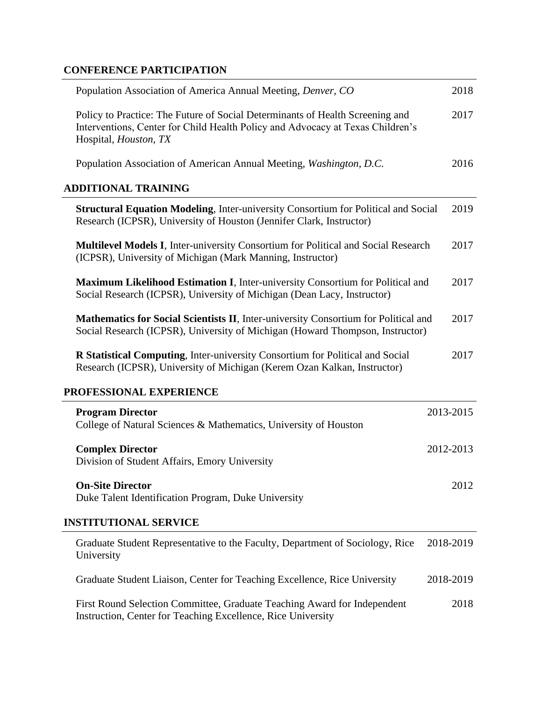## **CONFERENCE PARTICIPATION**

| Population Association of America Annual Meeting, Denver, CO                                                                                                                             | 2018      |
|------------------------------------------------------------------------------------------------------------------------------------------------------------------------------------------|-----------|
| Policy to Practice: The Future of Social Determinants of Health Screening and<br>Interventions, Center for Child Health Policy and Advocacy at Texas Children's<br>Hospital, Houston, TX | 2017      |
| Population Association of American Annual Meeting, Washington, D.C.                                                                                                                      | 2016      |
| <b>ADDITIONAL TRAINING</b>                                                                                                                                                               |           |
| <b>Structural Equation Modeling, Inter-university Consortium for Political and Social</b><br>Research (ICPSR), University of Houston (Jennifer Clark, Instructor)                        | 2019      |
| <b>Multilevel Models I, Inter-university Consortium for Political and Social Research</b><br>(ICPSR), University of Michigan (Mark Manning, Instructor)                                  | 2017      |
| Maximum Likelihood Estimation I, Inter-university Consortium for Political and<br>Social Research (ICPSR), University of Michigan (Dean Lacy, Instructor)                                | 2017      |
| Mathematics for Social Scientists II, Inter-university Consortium for Political and<br>Social Research (ICPSR), University of Michigan (Howard Thompson, Instructor)                     | 2017      |
| R Statistical Computing, Inter-university Consortium for Political and Social<br>Research (ICPSR), University of Michigan (Kerem Ozan Kalkan, Instructor)                                | 2017      |
| PROFESSIONAL EXPERIENCE                                                                                                                                                                  |           |
| <b>Program Director</b><br>College of Natural Sciences & Mathematics, University of Houston                                                                                              | 2013-2015 |
| <b>Complex Director</b><br>Division of Student Affairs, Emory University                                                                                                                 | 2012-2013 |
| <b>On-Site Director</b><br>Duke Talent Identification Program, Duke University                                                                                                           | 2012      |
| <b>INSTITUTIONAL SERVICE</b>                                                                                                                                                             |           |
| Graduate Student Representative to the Faculty, Department of Sociology, Rice<br>University                                                                                              | 2018-2019 |
| Graduate Student Liaison, Center for Teaching Excellence, Rice University                                                                                                                | 2018-2019 |
| First Round Selection Committee, Graduate Teaching Award for Independent<br>Instruction, Center for Teaching Excellence, Rice University                                                 | 2018      |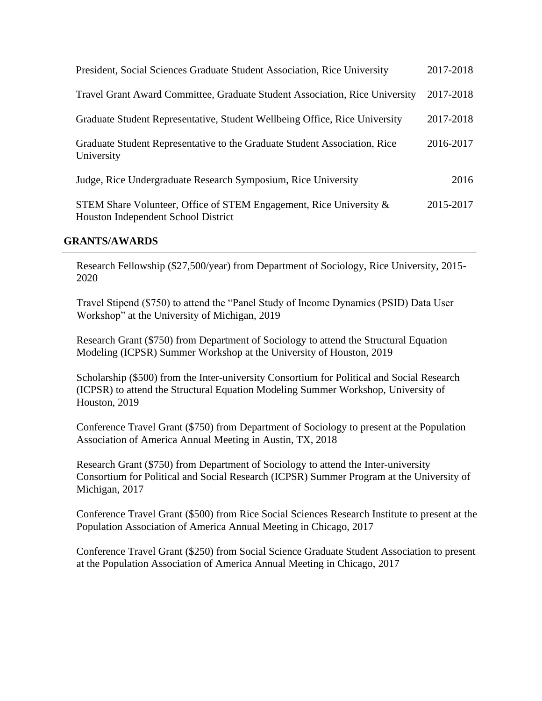| President, Social Sciences Graduate Student Association, Rice University                                  | 2017-2018 |
|-----------------------------------------------------------------------------------------------------------|-----------|
| Travel Grant Award Committee, Graduate Student Association, Rice University                               | 2017-2018 |
| Graduate Student Representative, Student Wellbeing Office, Rice University                                | 2017-2018 |
| Graduate Student Representative to the Graduate Student Association, Rice<br>University                   | 2016-2017 |
| Judge, Rice Undergraduate Research Symposium, Rice University                                             | 2016      |
| STEM Share Volunteer, Office of STEM Engagement, Rice University &<br>Houston Independent School District | 2015-2017 |

#### **GRANTS/AWARDS**

Research Fellowship (\$27,500/year) from Department of Sociology, Rice University, 2015- 2020

Travel Stipend (\$750) to attend the "Panel Study of Income Dynamics (PSID) Data User Workshop" at the University of Michigan, 2019

Research Grant (\$750) from Department of Sociology to attend the Structural Equation Modeling (ICPSR) Summer Workshop at the University of Houston, 2019

Scholarship (\$500) from the Inter-university Consortium for Political and Social Research (ICPSR) to attend the Structural Equation Modeling Summer Workshop, University of Houston, 2019

Conference Travel Grant (\$750) from Department of Sociology to present at the Population Association of America Annual Meeting in Austin, TX, 2018

Research Grant (\$750) from Department of Sociology to attend the Inter-university Consortium for Political and Social Research (ICPSR) Summer Program at the University of Michigan, 2017

Conference Travel Grant (\$500) from Rice Social Sciences Research Institute to present at the Population Association of America Annual Meeting in Chicago, 2017

Conference Travel Grant (\$250) from Social Science Graduate Student Association to present at the Population Association of America Annual Meeting in Chicago, 2017